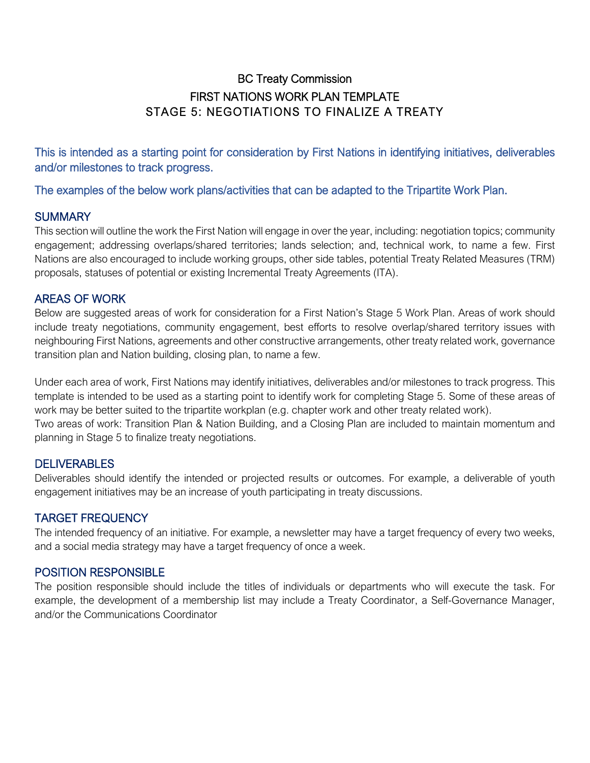## BC Treaty Commission FIRST NATIONS WORK PLAN TEMPLATE STAGE 5: NEGOTIATIONS TO FINALIZE A TREATY

This is intended as a starting point for consideration by First Nations in identifying initiatives, deliverables and/or milestones to track progress.

The examples of the below work plans/activities that can be adapted to the Tripartite Work Plan.

#### **SUMMARY**

This section will outline the work the First Nation will engage in over the year, including: negotiation topics; community engagement; addressing overlaps/shared territories; lands selection; and, technical work, to name a few. First Nations are also encouraged to include working groups, other side tables, potential Treaty Related Measures (TRM) proposals, statuses of potential or existing Incremental Treaty Agreements (ITA).

#### AREAS OF WORK

Below are suggested areas of work for consideration for a First Nation's Stage 5 Work Plan. Areas of work should include treaty negotiations, community engagement, best efforts to resolve overlap/shared territory issues with neighbouring First Nations, agreements and other constructive arrangements, other treaty related work, governance transition plan and Nation building, closing plan, to name a few.

Under each area of work, First Nations may identify initiatives, deliverables and/or milestones to track progress. This template is intended to be used as a starting point to identify work for completing Stage 5. Some of these areas of work may be better suited to the tripartite workplan (e.g. chapter work and other treaty related work). Two areas of work: Transition Plan & Nation Building, and a Closing Plan are included to maintain momentum and planning in Stage 5 to finalize treaty negotiations.

#### **DELIVERABLES**

Deliverables should identify the intended or projected results or outcomes. For example, a deliverable of youth engagement initiatives may be an increase of youth participating in treaty discussions.

#### TARGET FREQUENCY

The intended frequency of an initiative. For example, a newsletter may have a target frequency of every two weeks, and a social media strategy may have a target frequency of once a week.

#### POSITION RESPONSIBLE

The position responsible should include the titles of individuals or departments who will execute the task. For example, the development of a membership list may include a Treaty Coordinator, a Self-Governance Manager, and/or the Communications Coordinator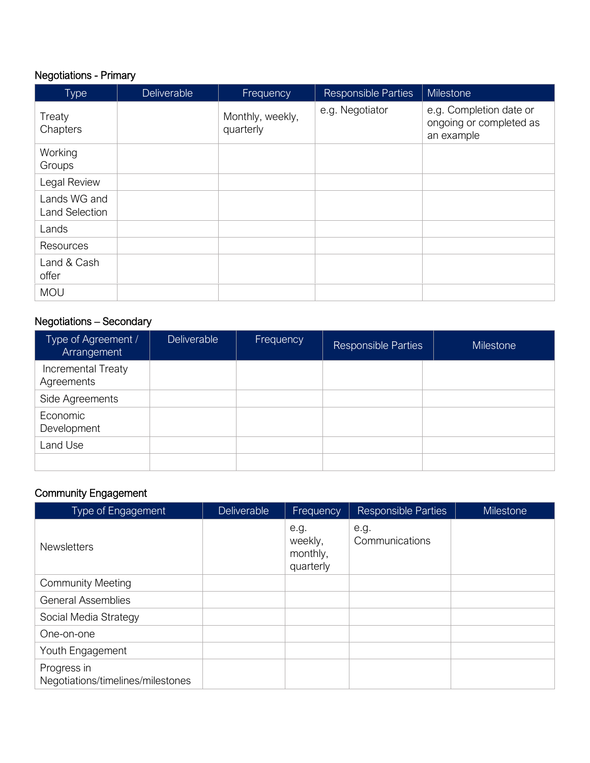# Negotiations - Primary

| Type                                  | Deliverable | Frequency                     | <b>Responsible Parties</b> | <b>Milestone</b>                                                 |
|---------------------------------------|-------------|-------------------------------|----------------------------|------------------------------------------------------------------|
| Treaty<br>Chapters                    |             | Monthly, weekly,<br>quarterly | e.g. Negotiator            | e.g. Completion date or<br>ongoing or completed as<br>an example |
| Working<br>Groups                     |             |                               |                            |                                                                  |
| Legal Review                          |             |                               |                            |                                                                  |
| Lands WG and<br><b>Land Selection</b> |             |                               |                            |                                                                  |
| Lands                                 |             |                               |                            |                                                                  |
| <b>Resources</b>                      |             |                               |                            |                                                                  |
| Land & Cash<br>offer                  |             |                               |                            |                                                                  |
| <b>MOU</b>                            |             |                               |                            |                                                                  |

# Negotiations – Secondary

| Type of Agreement /<br>Arrangement | Deliverable | Frequency | <b>Responsible Parties</b> | <b>Milestone</b> |
|------------------------------------|-------------|-----------|----------------------------|------------------|
| Incremental Treaty<br>Agreements   |             |           |                            |                  |
| Side Agreements                    |             |           |                            |                  |
| Economic<br>Development            |             |           |                            |                  |
| Land Use                           |             |           |                            |                  |
|                                    |             |           |                            |                  |

#### Community Engagement

| <b>Type of Engagement</b>                        | <b>Deliverable</b> | Frequency                                | <b>Responsible Parties</b> | Milestone |
|--------------------------------------------------|--------------------|------------------------------------------|----------------------------|-----------|
| <b>Newsletters</b>                               |                    | e.g.<br>weekly,<br>monthly,<br>quarterly | e.g.<br>Communications     |           |
| <b>Community Meeting</b>                         |                    |                                          |                            |           |
| <b>General Assemblies</b>                        |                    |                                          |                            |           |
| Social Media Strategy                            |                    |                                          |                            |           |
| One-on-one                                       |                    |                                          |                            |           |
| Youth Engagement                                 |                    |                                          |                            |           |
| Progress in<br>Negotiations/timelines/milestones |                    |                                          |                            |           |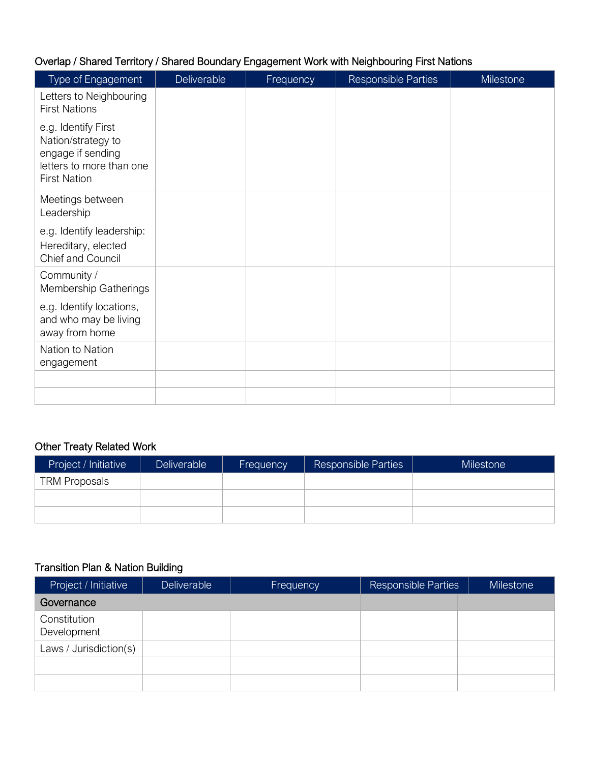## Overlap / Shared Territory / Shared Boundary Engagement Work with Neighbouring First Nations

| Type of Engagement                                                                                                | Deliverable | Frequency | <b>Responsible Parties</b> | <b>Milestone</b> |
|-------------------------------------------------------------------------------------------------------------------|-------------|-----------|----------------------------|------------------|
| Letters to Neighbouring<br><b>First Nations</b>                                                                   |             |           |                            |                  |
| e.g. Identify First<br>Nation/strategy to<br>engage if sending<br>letters to more than one<br><b>First Nation</b> |             |           |                            |                  |
| Meetings between<br>Leadership                                                                                    |             |           |                            |                  |
| e.g. Identify leadership:<br>Hereditary, elected<br>Chief and Council                                             |             |           |                            |                  |
| Community /<br><b>Membership Gatherings</b>                                                                       |             |           |                            |                  |
| e.g. Identify locations,<br>and who may be living<br>away from home                                               |             |           |                            |                  |
| Nation to Nation<br>engagement                                                                                    |             |           |                            |                  |
|                                                                                                                   |             |           |                            |                  |
|                                                                                                                   |             |           |                            |                  |

#### Other Treaty Related Work

| Project / Initiative | <b>Deliverable</b> | Frequency | <b>Responsible Parties</b> | Milestone <sup>1</sup> |
|----------------------|--------------------|-----------|----------------------------|------------------------|
| <b>TRM Proposals</b> |                    |           |                            |                        |
|                      |                    |           |                            |                        |
|                      |                    |           |                            |                        |

### Transition Plan & Nation Building

| Project / Initiative        | <b>Deliverable</b> | Frequency | <b>Responsible Parties</b> | <b>Milestone</b> |
|-----------------------------|--------------------|-----------|----------------------------|------------------|
| Governance                  |                    |           |                            |                  |
| Constitution<br>Development |                    |           |                            |                  |
| Laws / Jurisdiction(s)      |                    |           |                            |                  |
|                             |                    |           |                            |                  |
|                             |                    |           |                            |                  |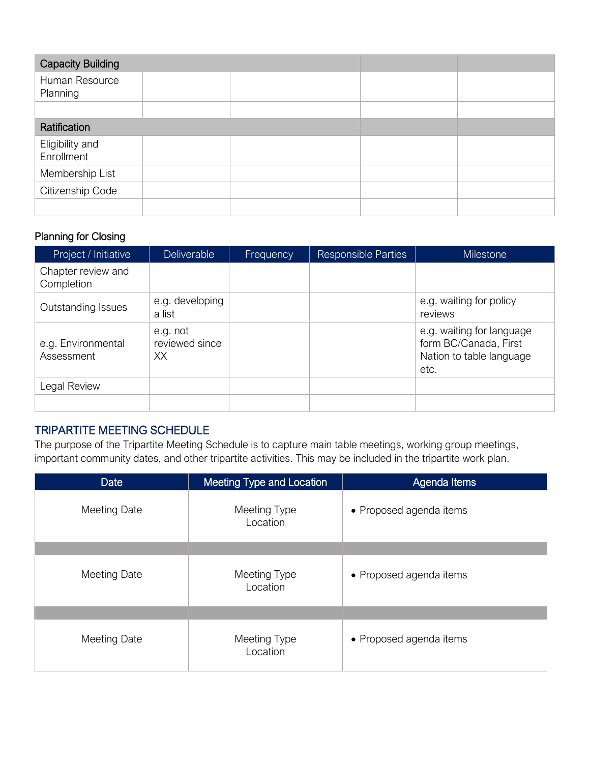| <b>Capacity Building</b>      |  |  |  |
|-------------------------------|--|--|--|
| Human Resource<br>Planning    |  |  |  |
|                               |  |  |  |
| Ratification                  |  |  |  |
| Eligibility and<br>Enrollment |  |  |  |
| Membership List               |  |  |  |
| Citizenship Code              |  |  |  |
|                               |  |  |  |

### Planning for Closing

| Project / Initiative             | <b>Deliverable</b>               | Frequency | <b>Responsible Parties</b> | <b>Milestone</b>                                                                       |
|----------------------------------|----------------------------------|-----------|----------------------------|----------------------------------------------------------------------------------------|
| Chapter review and<br>Completion |                                  |           |                            |                                                                                        |
| Outstanding Issues               | e.g. developing<br>a list        |           |                            | e.g. waiting for policy<br>reviews                                                     |
| e.g. Environmental<br>Assessment | e.g. not<br>reviewed since<br>XX |           |                            | e.g. waiting for language<br>form BC/Canada, First<br>Nation to table language<br>etc. |
| Legal Review                     |                                  |           |                            |                                                                                        |
|                                  |                                  |           |                            |                                                                                        |

#### TRIPARTITE MEETING SCHEDULE

The purpose of the Tripartite Meeting Schedule is to capture main table meetings, working group meetings, important community dates, and other tripartite activities. This may be included in the tripartite work plan.

| <b>Date</b>         | Meeting Type and Location | Agenda Items            |  |  |  |  |
|---------------------|---------------------------|-------------------------|--|--|--|--|
| <b>Meeting Date</b> | Meeting Type<br>Location  | • Proposed agenda items |  |  |  |  |
|                     |                           |                         |  |  |  |  |
| <b>Meeting Date</b> | Meeting Type<br>Location  | • Proposed agenda items |  |  |  |  |
|                     |                           |                         |  |  |  |  |
| <b>Meeting Date</b> | Meeting Type<br>Location  | • Proposed agenda items |  |  |  |  |